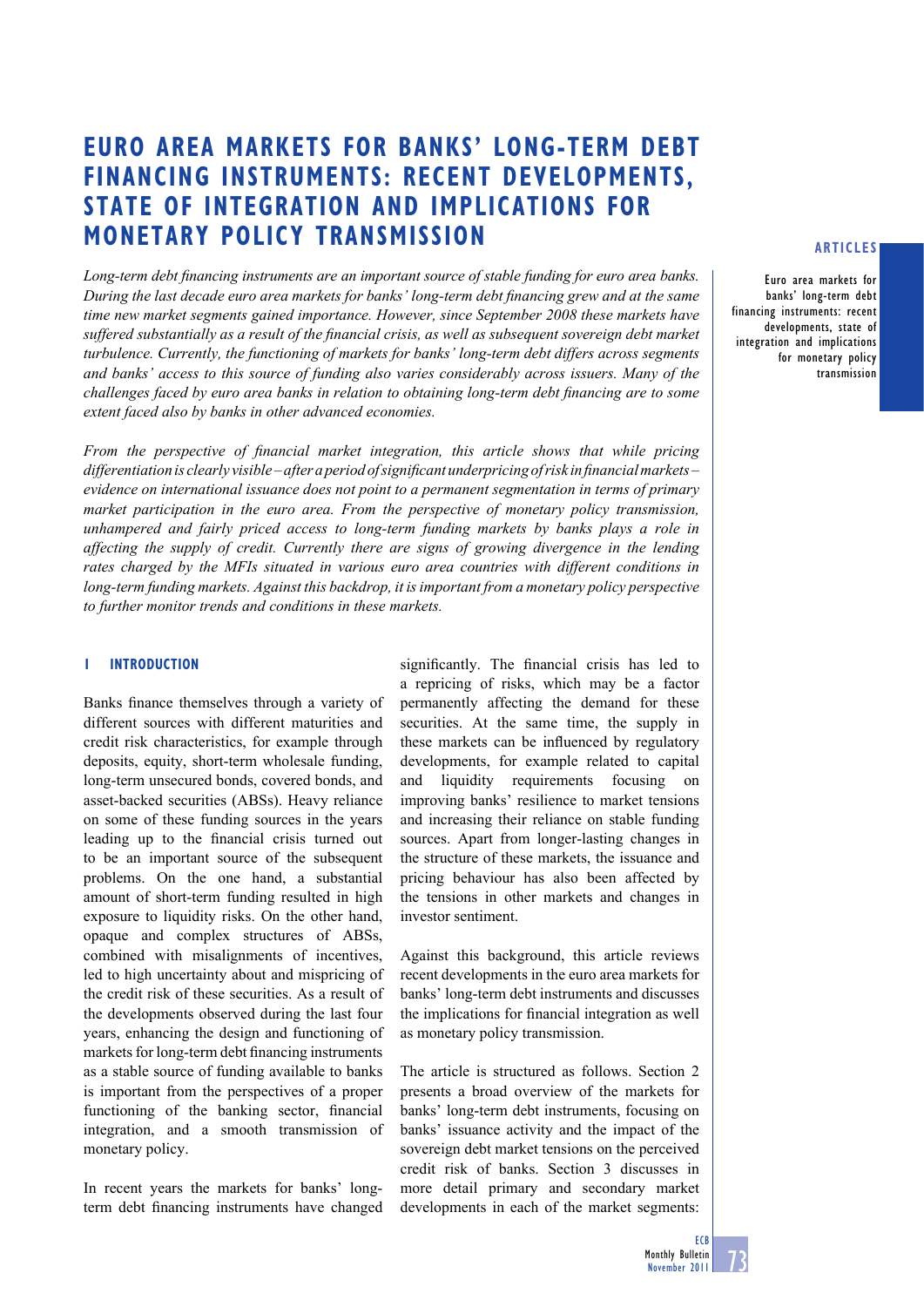# **EURO AREA MARKETS FOR BANKS' LONG-TERM DEBT FINANCING INSTRUMENTS: RECENT DEVELOPMENTS, STATE OF INTEGRATION AND IMPLICATIONS FOR MONETARY POLICY TRANSMISSION**

Long-term debt financing instruments are an important source of stable funding for euro area banks. *During the last decade euro area markets for banks' long-term debt financing grew and at the same time new market segments gained importance. However, since September 2008 these markets have suffered substantially as a result of the financial crisis, as well as subsequent sovereign debt market turbulence. Currently, the functioning of markets for banks' long-term debt differs across segments and banks' access to this source of funding also varies considerably across issuers. Many of the challenges faced by euro area banks in relation to obtaining long-term debt financing are to some extent faced also by banks in other advanced economies.*

*From the perspective of financial market integration, this article shows that while pricing differentiation is clearly visible – after a period of signifi cant underpricing of risk in fi nancial markets – evidence on international issuance does not point to a permanent segmentation in terms of primary market participation in the euro area. From the perspective of monetary policy transmission, unhampered and fairly priced access to long-term funding markets by banks plays a role in affecting the supply of credit. Currently there are signs of growing divergence in the lending rates charged by the MFIs situated in various euro area countries with different conditions in long-term funding markets. Against this backdrop, it is important from a monetary policy perspective to further monitor trends and conditions in these markets.*

### **1 INTRODUCTION**

Banks finance themselves through a variety of different sources with different maturities and credit risk characteristics, for example through deposits, equity, short-term wholesale funding, long-term unsecured bonds, covered bonds, and asset-backed securities (ABSs). Heavy reliance on some of these funding sources in the years leading up to the financial crisis turned out to be an important source of the subsequent problems. On the one hand, a substantial amount of short-term funding resulted in high exposure to liquidity risks. On the other hand, opaque and complex structures of ABSs, combined with misalignments of incentives, led to high uncertainty about and mispricing of the credit risk of these securities. As a result of the developments observed during the last four years, enhancing the design and functioning of markets for long-term debt financing instruments as a stable source of funding available to banks is important from the perspectives of a proper functioning of the banking sector, financial integration, and a smooth transmission of monetary policy.

In recent years the markets for banks' longterm debt financing instruments have changed

significantly. The financial crisis has led to a repricing of risks, which may be a factor permanently affecting the demand for these securities. At the same time, the supply in these markets can be influenced by regulatory developments, for example related to capital and liquidity requirements focusing on improving banks' resilience to market tensions and increasing their reliance on stable funding sources. Apart from longer-lasting changes in the structure of these markets, the issuance and pricing behaviour has also been affected by the tensions in other markets and changes in investor sentiment.

Against this background, this article reviews recent developments in the euro area markets for banks' long-term debt instruments and discusses the implications for financial integration as well as monetary policy transmission.

The article is structured as follows. Section 2 presents a broad overview of the markets for banks' long-term debt instruments, focusing on banks' issuance activity and the impact of the sovereign debt market tensions on the perceived credit risk of banks. Section 3 discusses in more detail primary and secondary market developments in each of the market segments:

### **ARTICLES**

Euro area markets for banks' long-term debt financing instruments: recent developments, state of integration and implications for monetary policy transmission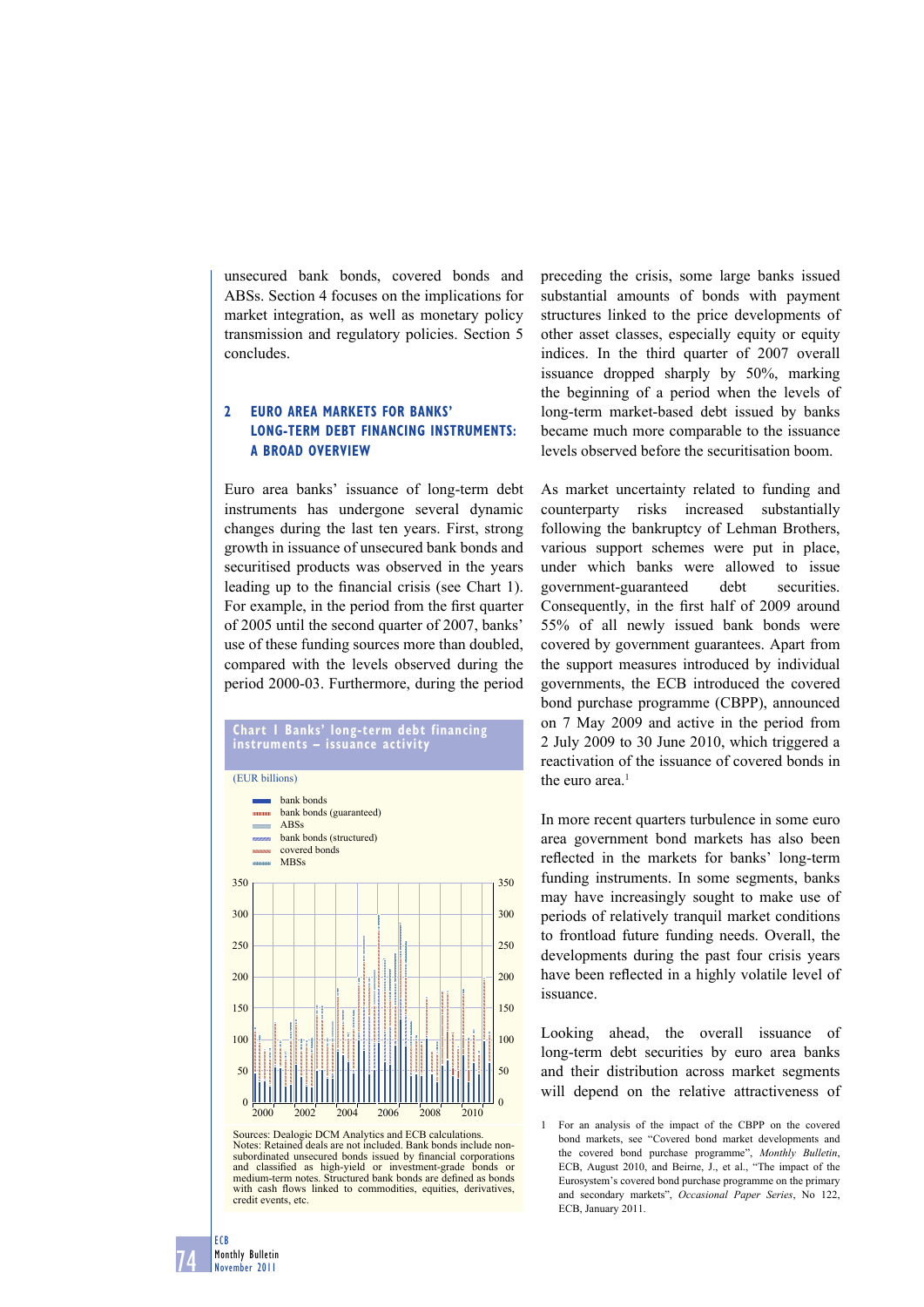unsecured bank bonds, covered bonds and ABSs. Section 4 focuses on the implications for market integration, as well as monetary policy transmission and regulatory policies. Section 5 concludes.

# **2 EURO AREA MARKETS FOR BANKS' LONG-TERM DEBT FINANCING INSTRUMENTS: A BROAD OVERVIEW**

Euro area banks' issuance of long-term debt instruments has undergone several dynamic changes during the last ten years. First, strong growth in issuance of unsecured bank bonds and securitised products was observed in the years leading up to the financial crisis (see Chart 1). For example, in the period from the first quarter of 2005 until the second quarter of 2007, banks' use of these funding sources more than doubled, compared with the levels observed during the period 2000-03. Furthermore, during the period

### **Chart 1 Banks' long-term debt financing instruments – issuance activity**



Sources: Dealogic DCM Analytics and ECB calculations. Notes: Retained deals are not included. Bank bonds include nonsubordinated unsecured bonds issued by financial corporations and classified as high-yield or investment-grade bonds or medium-term notes. Structured bank bonds are defined as bonds with cash flows linked to commodities, equities, derivatives, credit events, etc.

preceding the crisis, some large banks issued substantial amounts of bonds with payment structures linked to the price developments of other asset classes, especially equity or equity indices. In the third quarter of 2007 overall issuance dropped sharply by 50%, marking the beginning of a period when the levels of long-term market-based debt issued by banks became much more comparable to the issuance levels observed before the securitisation boom.

As market uncertainty related to funding and counterparty risks increased substantially following the bankruptcy of Lehman Brothers, various support schemes were put in place, under which banks were allowed to issue government-guaranteed debt securities. Consequently, in the first half of 2009 around 55% of all newly issued bank bonds were covered by government guarantees. Apart from the support measures introduced by individual governments, the ECB introduced the covered bond purchase programme (CBPP), announced on 7 May 2009 and active in the period from 2 July 2009 to 30 June 2010, which triggered a reactivation of the issuance of covered bonds in the euro area. $<sup>1</sup>$ </sup>

In more recent quarters turbulence in some euro area government bond markets has also been reflected in the markets for banks' long-term funding instruments. In some segments, banks may have increasingly sought to make use of periods of relatively tranquil market conditions to frontload future funding needs. Overall, the developments during the past four crisis years have been reflected in a highly volatile level of issuance.

Looking ahead, the overall issuance of long-term debt securities by euro area banks and their distribution across market segments will depend on the relative attractiveness of

1 For an analysis of the impact of the CBPP on the covered bond markets, see "Covered bond market developments and the covered bond purchase programme", *Monthly Bulletin*, ECB, August 2010, and Beirne, J., et al., "The impact of the Eurosystem's covered bond purchase programme on the primary and secondary markets", *Occasional Paper Series*, No 122, ECB, January 2011.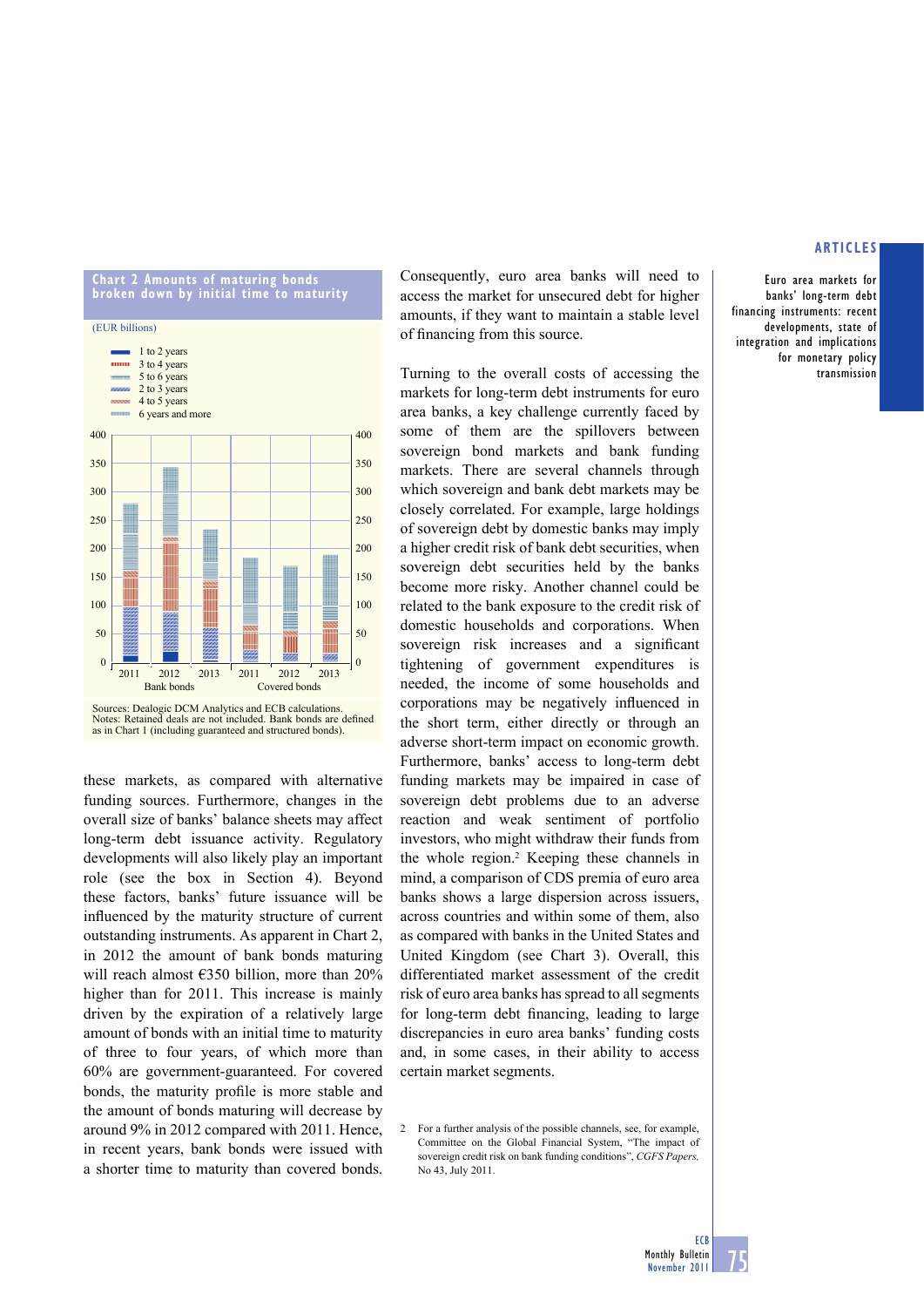

amounts, if they want to maintain a stable level of financing from this source. Turning to the overall costs of accessing the

Consequently, euro area banks will need to access the market for unsecured debt for higher

markets for long-term debt instruments for euro area banks, a key challenge currently faced by some of them are the spillovers between sovereign bond markets and bank funding markets. There are several channels through which sovereign and bank debt markets may be closely correlated. For example, large holdings of sovereign debt by domestic banks may imply a higher credit risk of bank debt securities, when sovereign debt securities held by the banks become more risky. Another channel could be related to the bank exposure to the credit risk of domestic households and corporations. When sovereign risk increases and a significant tightening of government expenditures is needed, the income of some households and corporations may be negatively influenced in the short term, either directly or through an adverse short-term impact on economic growth. Furthermore, banks' access to long-term debt funding markets may be impaired in case of sovereign debt problems due to an adverse reaction and weak sentiment of portfolio investors, who might withdraw their funds from the whole region.2 Keeping these channels in mind, a comparison of CDS premia of euro area banks shows a large dispersion across issuers, across countries and within some of them, also as compared with banks in the United States and United Kingdom (see Chart 3). Overall, this differentiated market assessment of the credit risk of euro area banks has spread to all segments for long-term debt financing, leading to large discrepancies in euro area banks' funding costs and, in some cases, in their ability to access certain market segments.

2 For a further analysis of the possible channels, see, for example, Committee on the Global Financial System, "The impact of sovereign credit risk on bank funding conditions", *CGFS Papers,* No 43, July 2011.

## **ARTICLES**

Euro area markets for banks' long-term debt financing instruments: recent developments, state of integration and implications for monetary policy transmission

Sources: Dealogic DCM Analytics and ECB calculations.<br>Notes: Retained deals are not included. Bank bonds are defined as in Chart 1 (including guaranteed and structured bonds).

these markets, as compared with alternative funding sources. Furthermore, changes in the overall size of banks' balance sheets may affect long-term debt issuance activity. Regulatory developments will also likely play an important role (see the box in Section 4). Beyond these factors, banks' future issuance will be influenced by the maturity structure of current outstanding instruments. As apparent in Chart 2, in 2012 the amount of bank bonds maturing will reach almost €350 billion, more than 20% higher than for 2011. This increase is mainly driven by the expiration of a relatively large amount of bonds with an initial time to maturity of three to four years, of which more than 60% are government-guaranteed. For covered bonds, the maturity profile is more stable and the amount of bonds maturing will decrease by around 9% in 2012 compared with 2011. Hence, in recent years, bank bonds were issued with a shorter time to maturity than covered bonds.

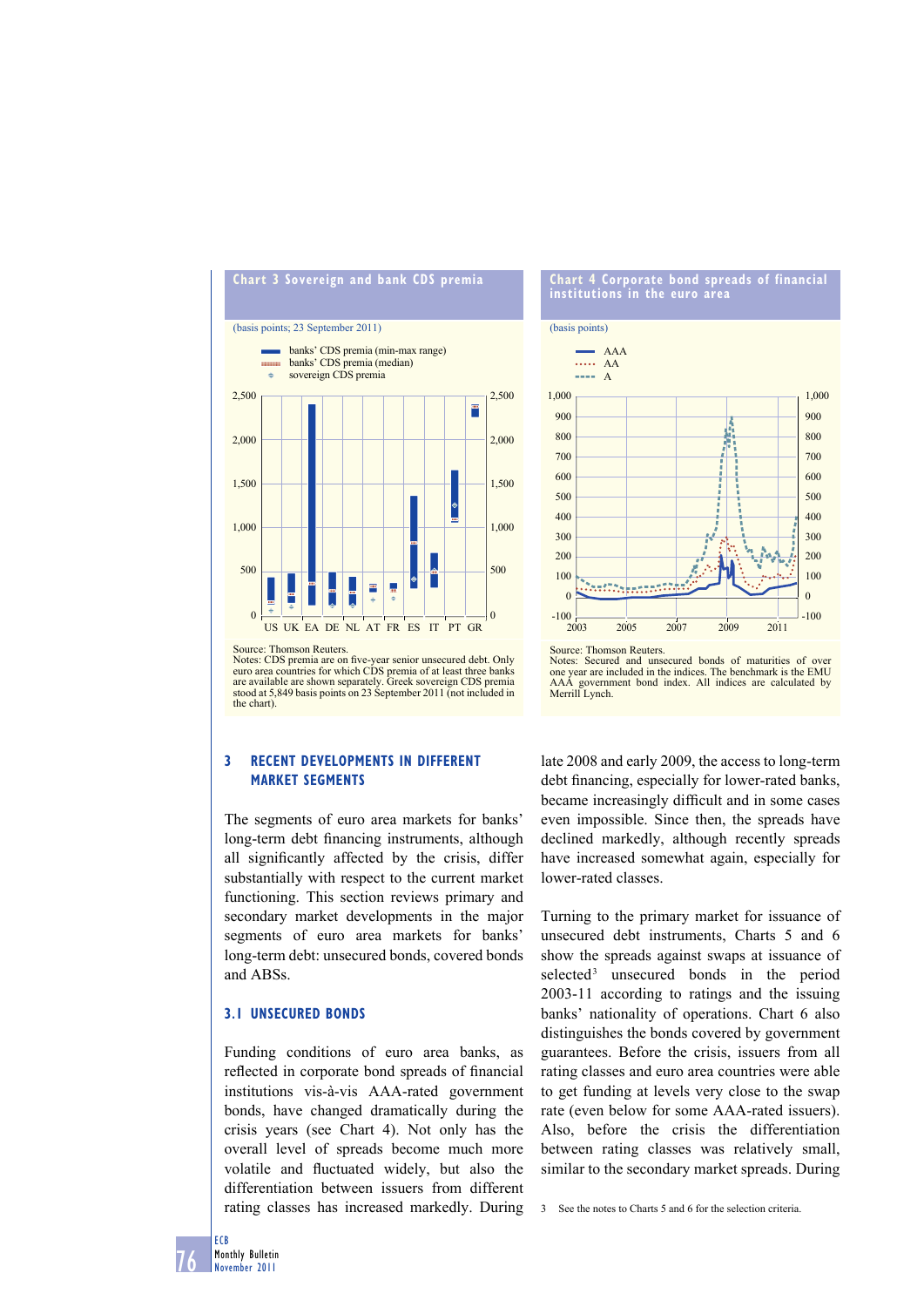

Notes: CDS premia are on five-year senior unsecured debt. Only euro area countries for which CDS premia of at least three banks are available are shown separately. Greek sovereign CDS premia stood at 5,849 basis points on 23 September 2011 (not included in the chart).

# **3 RECENT DEVELOPMENTS IN DIFFERENT MARKET SEGMENTS**

The segments of euro area markets for banks' long-term debt financing instruments, although all significantly affected by the crisis, differ substantially with respect to the current market functioning. This section reviews primary and secondary market developments in the major segments of euro area markets for banks' long-term debt: unsecured bonds, covered bonds and ABSs.

# **3.1 UNSECURED BONDS**

Funding conditions of euro area banks, as reflected in corporate bond spreads of financial institutions vis-à-vis AAA-rated government bonds, have changed dramatically during the crisis years (see Chart 4). Not only has the overall level of spreads become much more volatile and fluctuated widely, but also the differentiation between issuers from different rating classes has increased markedly. During

### **Chart 4 Corporate bond spreads of financial institutions in the euro area**



Notes: Secured and unsecured bonds of maturities of over one year are included in the indices. The benchmark is the EMU AAA government bond index. All indices are calculated by Merrill Lynch.

late 2008 and early 2009, the access to long-term debt financing, especially for lower-rated banks, became increasingly difficult and in some cases even impossible. Since then, the spreads have declined markedly, although recently spreads have increased somewhat again, especially for lower-rated classes.

Turning to the primary market for issuance of unsecured debt instruments, Charts 5 and 6 show the spreads against swaps at issuance of selected<sup>3</sup> unsecured bonds in the period 2003-11 according to ratings and the issuing banks' nationality of operations. Chart 6 also distinguishes the bonds covered by government guarantees. Before the crisis, issuers from all rating classes and euro area countries were able to get funding at levels very close to the swap rate (even below for some AAA-rated issuers). Also, before the crisis the differentiation between rating classes was relatively small, similar to the secondary market spreads. During

3 See the notes to Charts 5 and 6 for the selection criteria.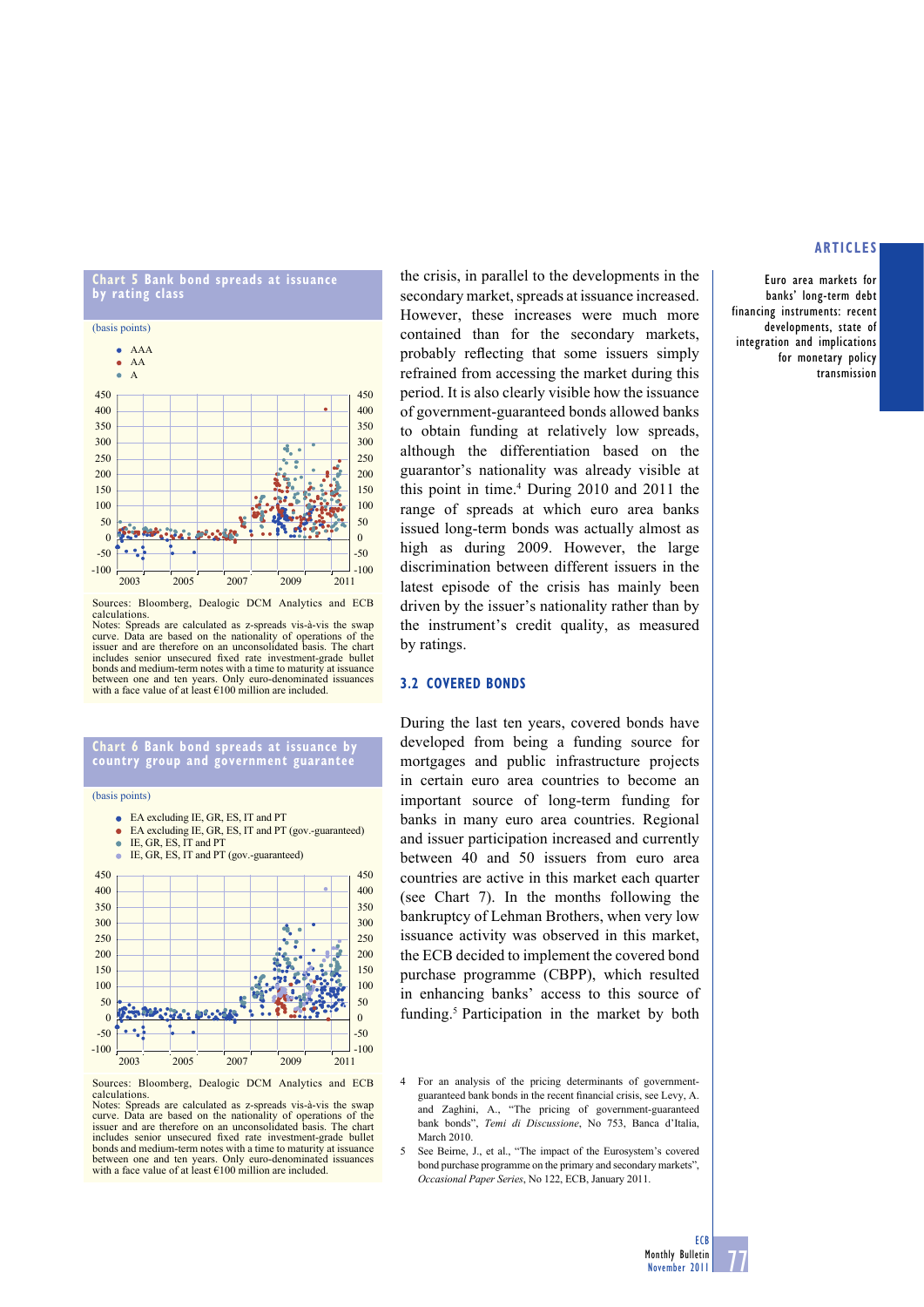



Sources: Bloomberg, Dealogic DCM Analytics and ECB calculations. Notes: Spreads are calculated as z-spreads vis-à-vis the swap

curve. Data are based on the nationality of operations of the issuer and are therefore on an unconsolidated basis. The chart includes senior unsecured fi xed rate investment-grade bullet bonds and medium-term notes with a time to maturity at issuance between one and ten years. Only euro-denominated issuances with a face value of at least €100 million are included.

#### **Chart 6 Bank bond spreads at issuance by country group and government guarantee**







Notes: Spreads are calculated as z-spreads vis-à-vis the swap curve. Data are based on the nationality of operations of the issuer and are therefore on an unconsolidated basis. The chart includes senior unsecured fixed rate investment-grade bullet bonds and medium-term notes with a time to maturity at issuance between one and ten years. Only euro-denominated issuances with a face value of at least €100 million are included.

the crisis, in parallel to the developments in the secondary market, spreads at issuance increased. However, these increases were much more contained than for the secondary markets, probably reflecting that some issuers simply refrained from accessing the market during this period. It is also clearly visible how the issuance of government-guaranteed bonds allowed banks to obtain funding at relatively low spreads, although the differentiation based on the guarantor's nationality was already visible at this point in time.4 During 2010 and 2011 the range of spreads at which euro area banks issued long-term bonds was actually almost as high as during 2009. However, the large discrimination between different issuers in the latest episode of the crisis has mainly been driven by the issuer's nationality rather than by the instrument's credit quality, as measured by ratings.

# **3.2 COVERED BONDS**

400 450 During the last ten years, covered bonds have developed from being a funding source for mortgages and public infrastructure projects in certain euro area countries to become an important source of long-term funding for banks in many euro area countries. Regional and issuer participation increased and currently between 40 and 50 issuers from euro area countries are active in this market each quarter (see Chart 7). In the months following the bankruptcy of Lehman Brothers, when very low issuance activity was observed in this market, the ECB decided to implement the covered bond purchase programme (CBPP), which resulted in enhancing banks' access to this source of funding.5 Participation in the market by both

## **ARTICLES**

Euro area markets for banks' long-term debt financing instruments: recent developments, state of integration and implications for monetary policy transmission

<sup>4</sup> For an analysis of the pricing determinants of governmentguaranteed bank bonds in the recent financial crisis, see Levy, A. and Zaghini, A., "The pricing of government-guaranteed bank bonds", *Temi di Discussione*, No 753, Banca d'Italia, March 2010.

<sup>5</sup> See Beirne, J., et al., "The impact of the Eurosystem's covered bond purchase programme on the primary and secondary markets", *Occasional Paper Series*, No 122, ECB, January 2011.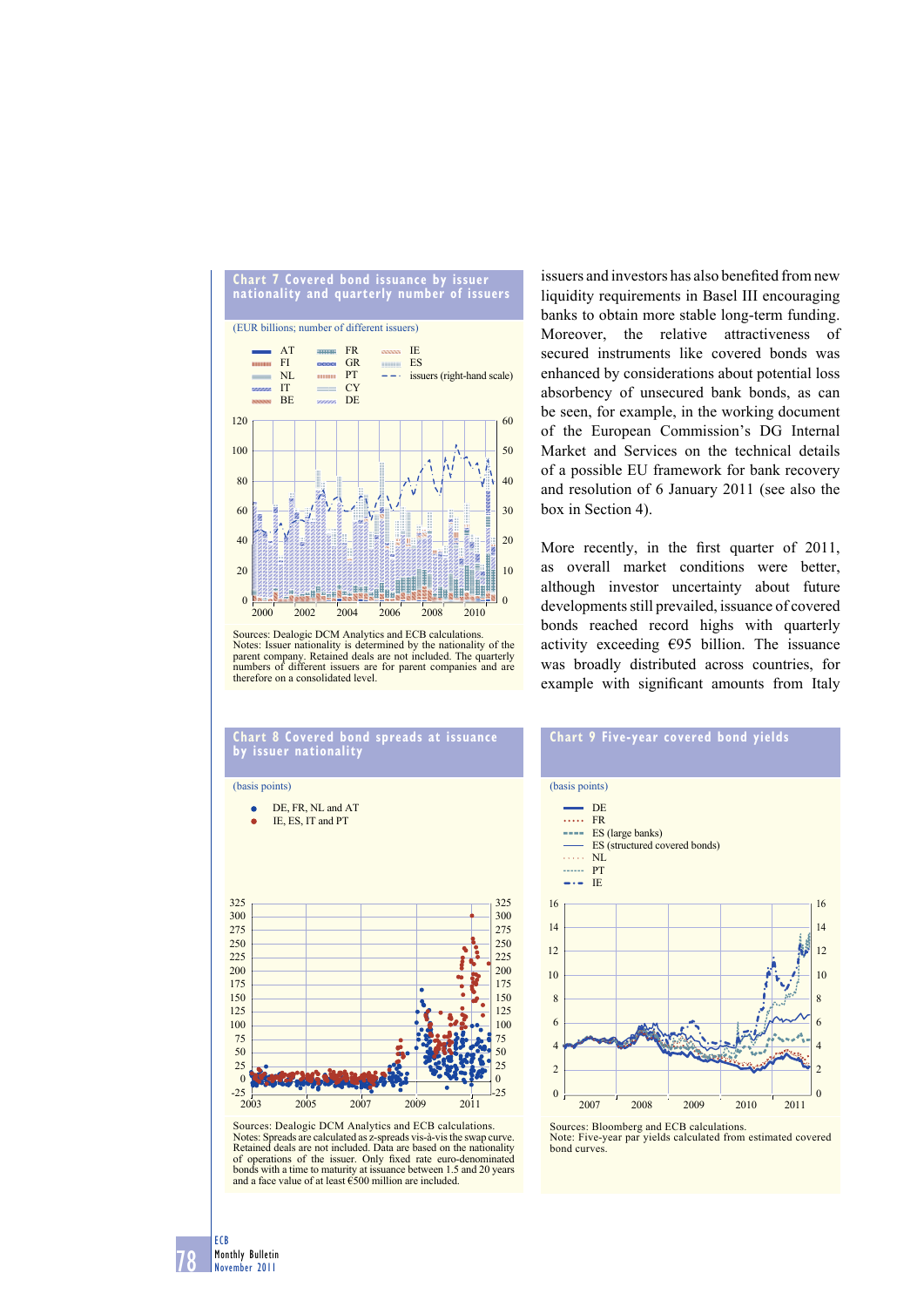

Sources: Dealogic DCM Analytics and ECB calculations. Notes: Issuer nationality is determined by the nationality of the parent company. Retained deals are not included. The quarterly numbers of different issuers are for parent companies and are therefore on a consolidated level.



More recently, in the first quarter of 2011, as overall market conditions were better, although investor uncertainty about future developments still prevailed, issuance of covered bonds reached record highs with quarterly activity exceeding €95 billion. The issuance was broadly distributed across countries, for example with significant amounts from Italy







Sources: Dealogic DCM Analytics and ECB calculations. Notes: Spreads are calculated as z-spreads vis-à-vis the swap curve. Retained deals are not included. Data are based on the nationality of operations of the issuer. Only fixed rate euro-denominated bonds with a time to maturity at issuance between 1.5 and 20 years and a face value of at least  $\epsilon$ 500 million are included.

Note: Five-year par yields calculated from estimated covered bond curves.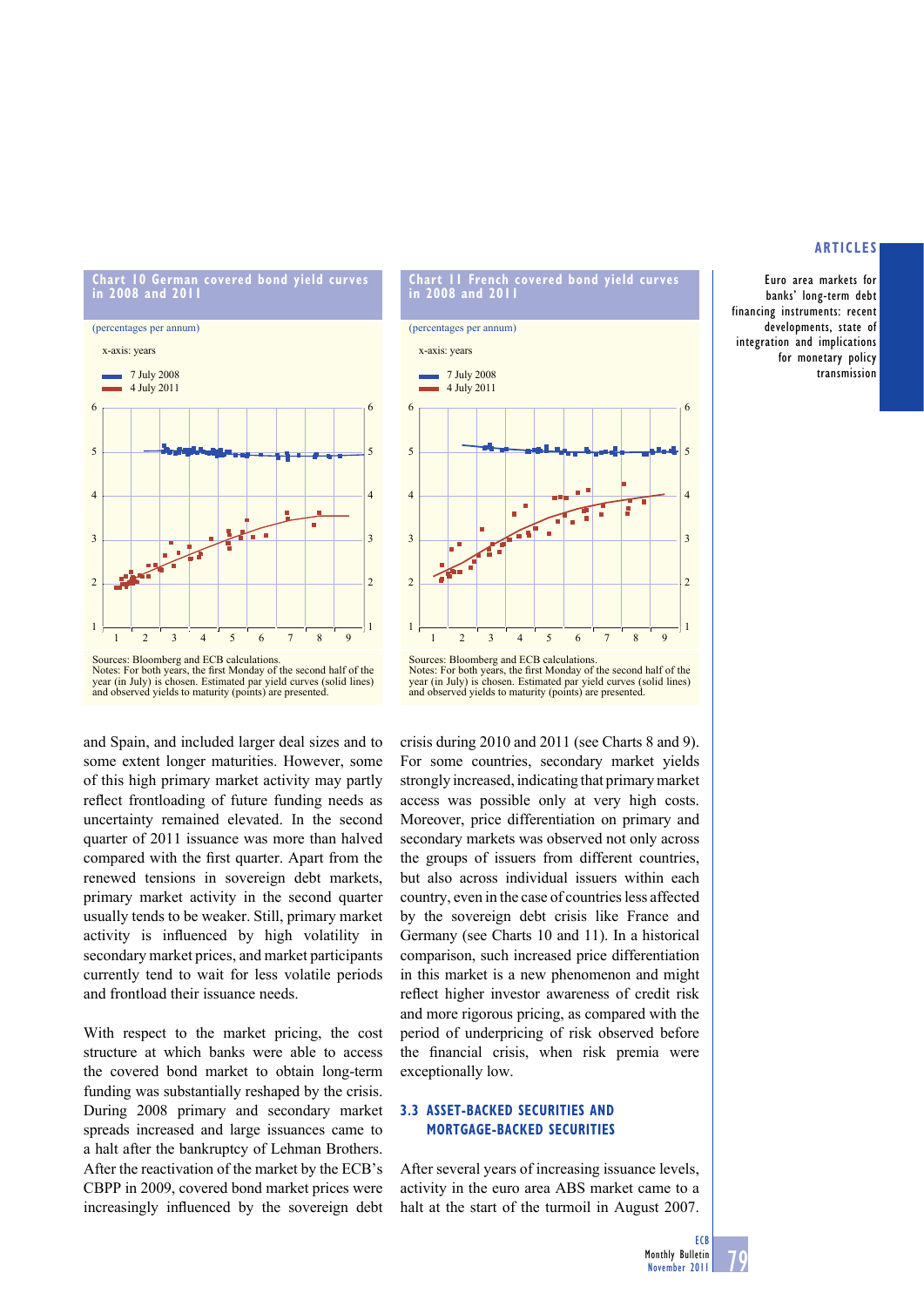### **ARTICLES**

Euro area markets for banks' long-term debt financing instruments: recent developments, state of integration and implications for monetary policy transmission



**Chart 10 German covered bond yield curves** 



and Spain, and included larger deal sizes and to some extent longer maturities. However, some of this high primary market activity may partly reflect frontloading of future funding needs as uncertainty remained elevated. In the second quarter of 2011 issuance was more than halved compared with the first quarter. Apart from the renewed tensions in sovereign debt markets, primary market activity in the second quarter usually tends to be weaker. Still, primary market activity is influenced by high volatility in secondary market prices, and market participants currently tend to wait for less volatile periods and frontload their issuance needs.

With respect to the market pricing, the cost structure at which banks were able to access the covered bond market to obtain long-term funding was substantially reshaped by the crisis. During 2008 primary and secondary market spreads increased and large issuances came to a halt after the bankruptcy of Lehman Brothers. After the reactivation of the market by the ECB's CBPP in 2009, covered bond market prices were increasingly influenced by the sovereign debt



**Chart 11 French covered bond yield curves** 

Notes: For both years, the first Monday of the second half of the year (in July) is chosen. Estimated par yield curves (solid lines) and observed yields to maturity (points) are presented.

crisis during 2010 and 2011 (see Charts 8 and 9). For some countries, secondary market yields strongly increased, indicating that primary market access was possible only at very high costs. Moreover, price differentiation on primary and secondary markets was observed not only across the groups of issuers from different countries, but also across individual issuers within each country, even in the case of countries less affected by the sovereign debt crisis like France and Germany (see Charts 10 and 11). In a historical comparison, such increased price differentiation in this market is a new phenomenon and might reflect higher investor awareness of credit risk and more rigorous pricing, as compared with the period of underpricing of risk observed before the financial crisis, when risk premia were exceptionally low.

# **3.3 ASSET-BACKED SECURITIES AND MORTGAGE-BACKED SECURITIES**

After several years of increasing issuance levels, activity in the euro area ABS market came to a halt at the start of the turmoil in August 2007.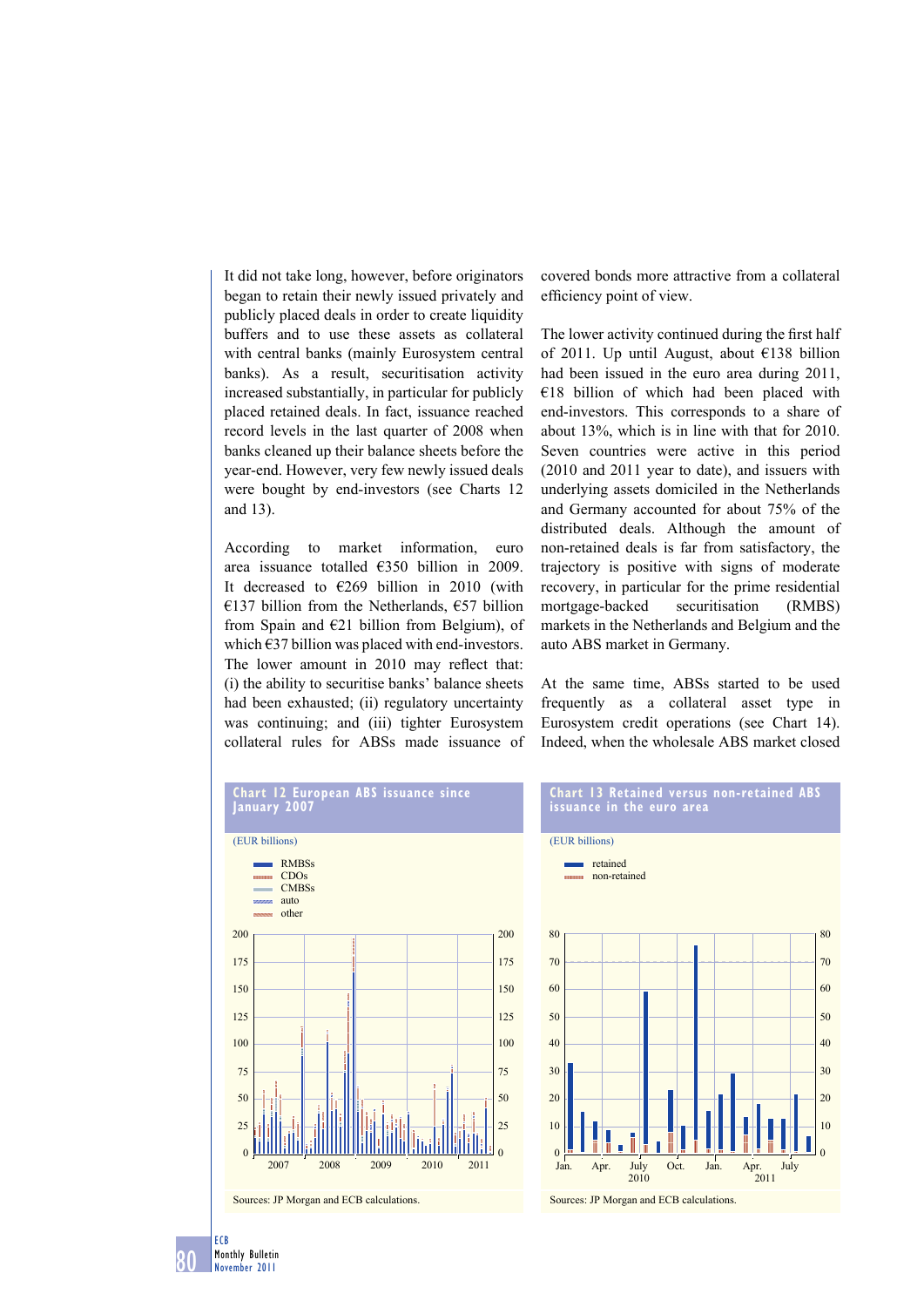It did not take long, however, before originators began to retain their newly issued privately and publicly placed deals in order to create liquidity buffers and to use these assets as collateral with central banks (mainly Eurosystem central banks). As a result, securitisation activity increased substantially, in particular for publicly placed retained deals. In fact, issuance reached record levels in the last quarter of 2008 when banks cleaned up their balance sheets before the year-end. However, very few newly issued deals were bought by end-investors (see Charts 12 and 13).

According to market information, euro area issuance totalled €350 billion in 2009. It decreased to  $\epsilon$ 269 billion in 2010 (with €137 billion from the Netherlands,  $€57$  billion from Spain and  $E21$  billion from Belgium), of which  $\epsilon$ 37 billion was placed with end-investors. The lower amount in 2010 may reflect that: (i) the ability to securitise banks' balance sheets had been exhausted; (ii) regulatory uncertainty was continuing; and (iii) tighter Eurosystem collateral rules for ABSs made issuance of

covered bonds more attractive from a collateral efficiency point of view.

The lower activity continued during the first half of 2011. Up until August, about €138 billion had been issued in the euro area during 2011,  $€18$  billion of which had been placed with end-investors. This corresponds to a share of about 13%, which is in line with that for 2010. Seven countries were active in this period (2010 and 2011 year to date), and issuers with underlying assets domiciled in the Netherlands and Germany accounted for about 75% of the distributed deals. Although the amount of non-retained deals is far from satisfactory, the trajectory is positive with signs of moderate recovery, in particular for the prime residential mortgage-backed securitisation (RMBS) markets in the Netherlands and Belgium and the auto ABS market in Germany.

At the same time, ABSs started to be used frequently as a collateral asset type in Eurosystem credit operations (see Chart 14). Indeed, when the wholesale ABS market closed



### **Chart 13 Retained versus non-retained ABS issuance in the euro area**

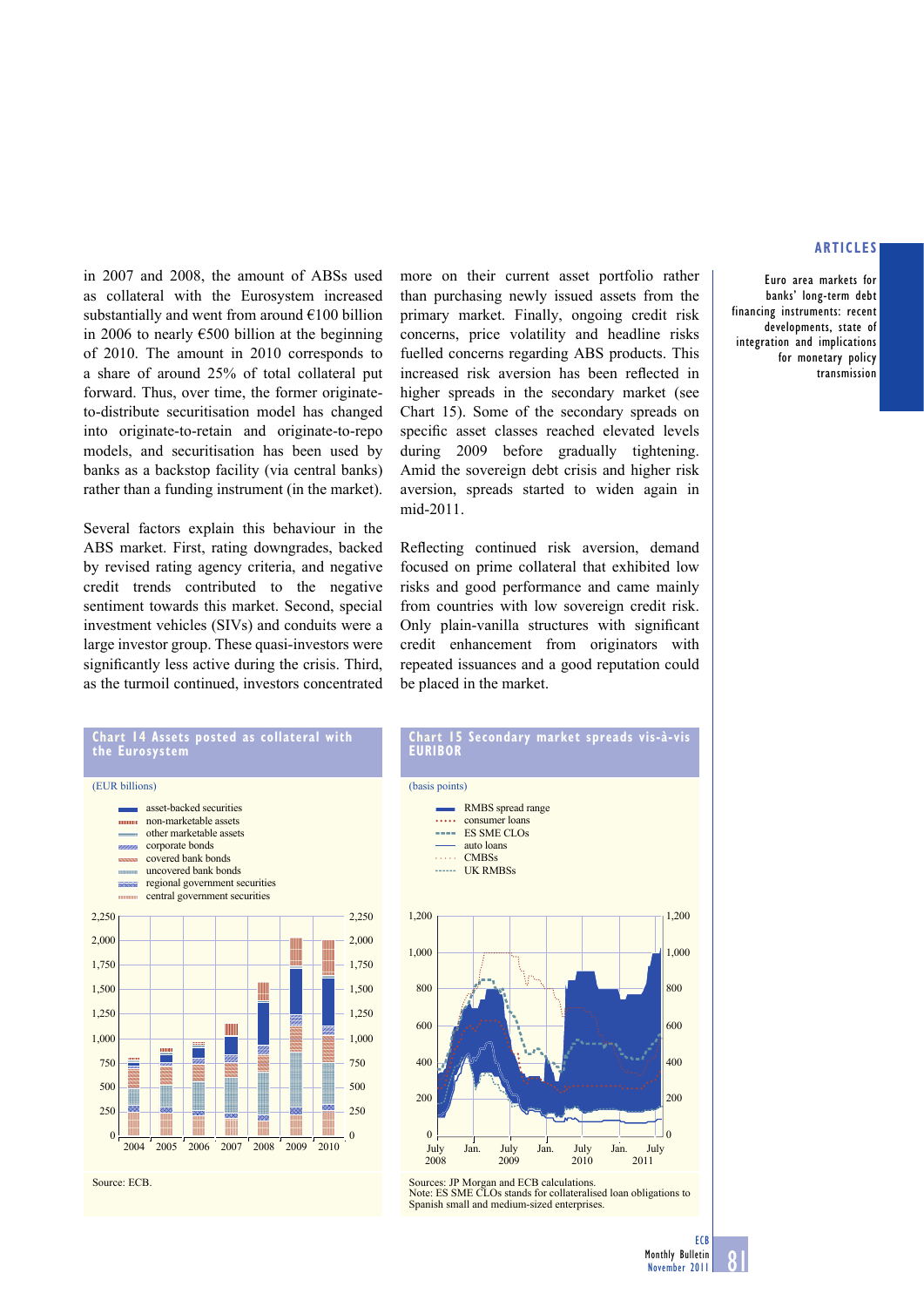in 2007 and 2008, the amount of ABSs used as collateral with the Eurosystem increased substantially and went from around €100 billion in 2006 to nearly  $\epsilon$ 500 billion at the beginning of 2010. The amount in 2010 corresponds to a share of around 25% of total collateral put forward. Thus, over time, the former originateto-distribute securitisation model has changed into originate-to-retain and originate-to-repo models, and securitisation has been used by banks as a backstop facility (via central banks) rather than a funding instrument (in the market).

Several factors explain this behaviour in the ABS market. First, rating downgrades, backed by revised rating agency criteria, and negative credit trends contributed to the negative sentiment towards this market. Second, special investment vehicles (SIVs) and conduits were a large investor group. These quasi-investors were significantly less active during the crisis. Third, as the turmoil continued, investors concentrated

more on their current asset portfolio rather than purchasing newly issued assets from the primary market. Finally, ongoing credit risk concerns, price volatility and headline risks fuelled concerns regarding ABS products. This increased risk aversion has been reflected in higher spreads in the secondary market (see Chart 15). Some of the secondary spreads on specific asset classes reached elevated levels during 2009 before gradually tightening. Amid the sovereign debt crisis and higher risk aversion, spreads started to widen again in mid-2011.

Reflecting continued risk aversion, demand focused on prime collateral that exhibited low risks and good performance and came mainly from countries with low sovereign credit risk. Only plain-vanilla structures with significant credit enhancement from originators with repeated issuances and a good reputation could be placed in the market.

## **ARTICLES**

Euro area markets for banks' long-term debt financing instruments: recent developments, state of integration and implications for monetary policy transmission



# **Chart 15 Secondary market spreads vis-à-vis EURIBOR** (basis points)



Sources: JP Morgan and ECB calculations. Note: ES SME CLOs stands for collateralised loan obligations to Spanish small and medium-sized enterprises.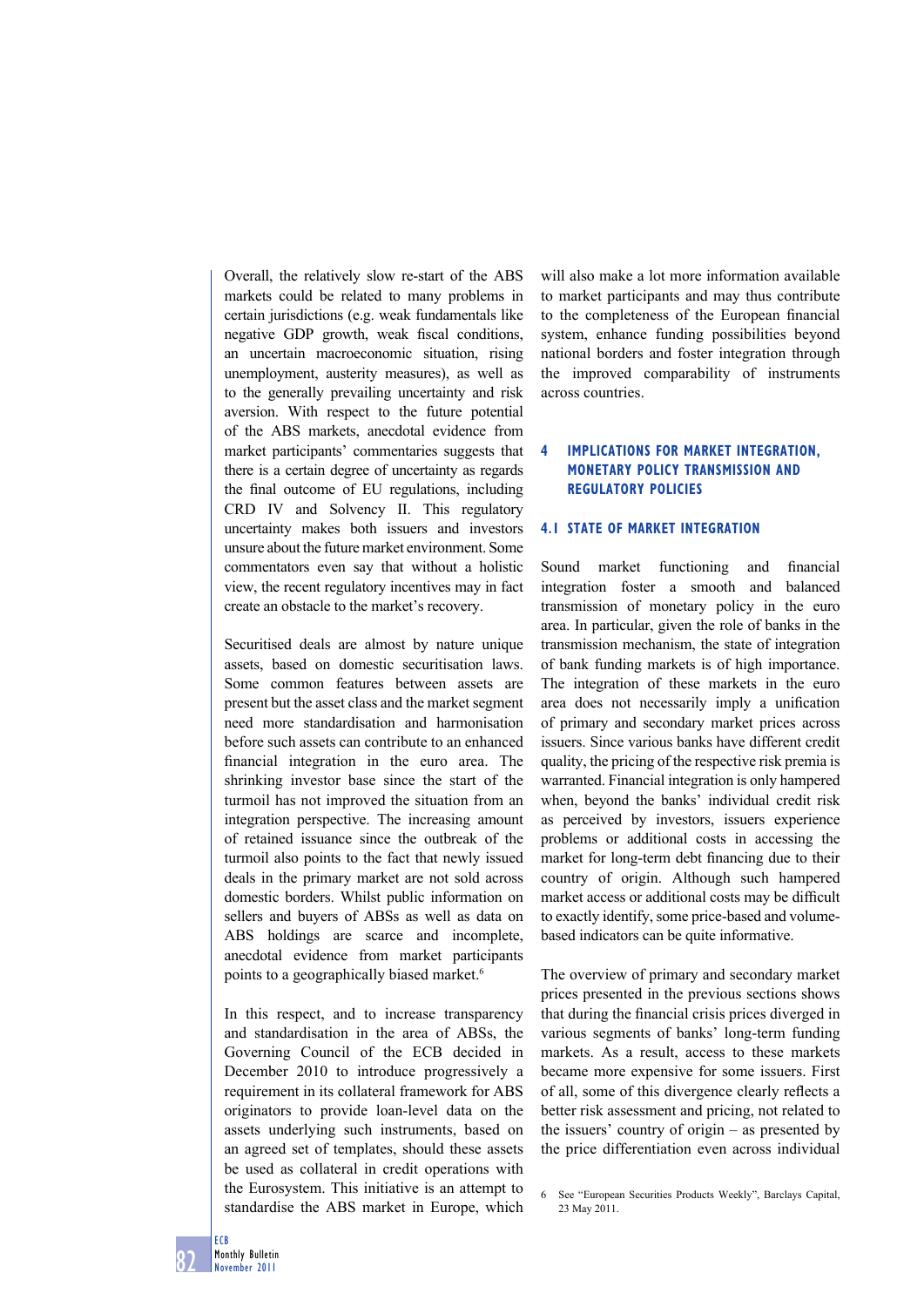Overall, the relatively slow re-start of the ABS markets could be related to many problems in certain jurisdictions (e.g. weak fundamentals like negative GDP growth, weak fiscal conditions, an uncertain macroeconomic situation, rising unemployment, austerity measures), as well as to the generally prevailing uncertainty and risk aversion. With respect to the future potential of the ABS markets, anecdotal evidence from market participants' commentaries suggests that there is a certain degree of uncertainty as regards the final outcome of EU regulations, including CRD IV and Solvency II. This regulatory uncertainty makes both issuers and investors unsure about the future market environment. Some commentators even say that without a holistic view, the recent regulatory incentives may in fact create an obstacle to the market's recovery.

Securitised deals are almost by nature unique assets, based on domestic securitisation laws. Some common features between assets are present but the asset class and the market segment need more standardisation and harmonisation before such assets can contribute to an enhanced financial integration in the euro area. The shrinking investor base since the start of the turmoil has not improved the situation from an integration perspective. The increasing amount of retained issuance since the outbreak of the turmoil also points to the fact that newly issued deals in the primary market are not sold across domestic borders. Whilst public information on sellers and buyers of ABSs as well as data on ABS holdings are scarce and incomplete, anecdotal evidence from market participants points to a geographically biased market.<sup>6</sup>

In this respect, and to increase transparency and standardisation in the area of ABSs, the Governing Council of the ECB decided in December 2010 to introduce progressively a requirement in its collateral framework for ABS originators to provide loan-level data on the assets underlying such instruments, based on an agreed set of templates, should these assets be used as collateral in credit operations with the Eurosystem. This initiative is an attempt to standardise the ABS market in Europe, which

will also make a lot more information available to market participants and may thus contribute to the completeness of the European financial system, enhance funding possibilities beyond national borders and foster integration through the improved comparability of instruments across countries.

# **4 IMPLICATIONS FOR MARKET INTEGRATION, MONETARY POLICY TRANSMISSION AND REGULATORY POLICIES**

### **4.1 STATE OF MARKET INTEGRATION**

Sound market functioning and financial integration foster a smooth and balanced transmission of monetary policy in the euro area. In particular, given the role of banks in the transmission mechanism, the state of integration of bank funding markets is of high importance. The integration of these markets in the euro area does not necessarily imply a unification of primary and secondary market prices across issuers. Since various banks have different credit quality, the pricing of the respective risk premia is warranted. Financial integration is only hampered when, beyond the banks' individual credit risk as perceived by investors, issuers experience problems or additional costs in accessing the market for long-term debt financing due to their country of origin. Although such hampered market access or additional costs may be difficult to exactly identify, some price-based and volumebased indicators can be quite informative.

The overview of primary and secondary market prices presented in the previous sections shows that during the financial crisis prices diverged in various segments of banks' long-term funding markets. As a result, access to these markets became more expensive for some issuers. First of all, some of this divergence clearly reflects a better risk assessment and pricing, not related to the issuers' country of origin – as presented by the price differentiation even across individual

<sup>6</sup> See "European Securities Products Weekly", Barclays Capital, 23 May 2011.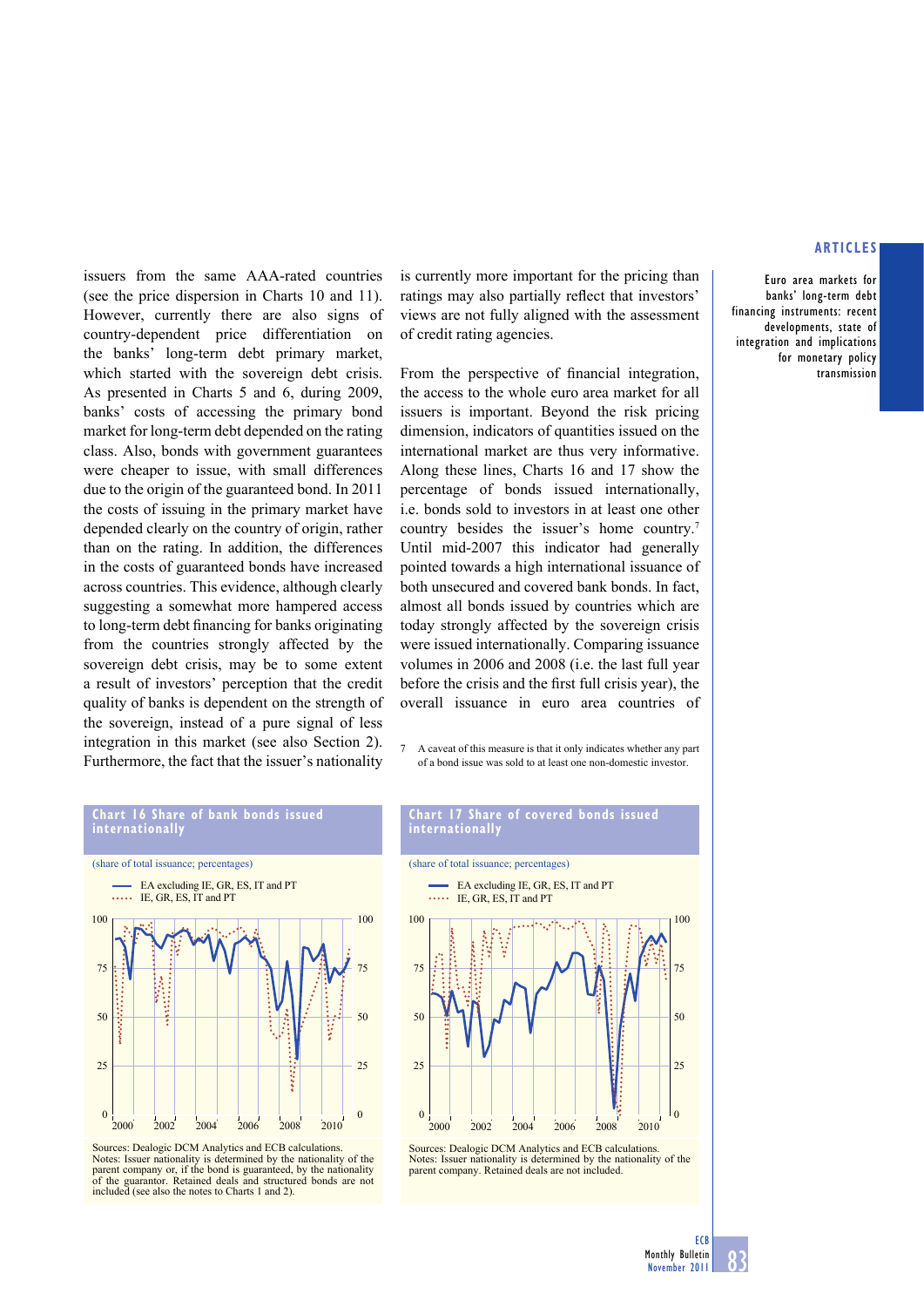issuers from the same AAA-rated countries (see the price dispersion in Charts 10 and 11). However, currently there are also signs of country-dependent price differentiation on the banks' long-term debt primary market, which started with the sovereign debt crisis. As presented in Charts 5 and 6, during 2009, banks' costs of accessing the primary bond market for long-term debt depended on the rating class. Also, bonds with government guarantees were cheaper to issue, with small differences due to the origin of the guaranteed bond. In 2011 the costs of issuing in the primary market have depended clearly on the country of origin, rather than on the rating. In addition, the differences in the costs of guaranteed bonds have increased across countries. This evidence, although clearly suggesting a somewhat more hampered access to long-term debt financing for banks originating from the countries strongly affected by the sovereign debt crisis, may be to some extent a result of investors' perception that the credit quality of banks is dependent on the strength of the sovereign, instead of a pure signal of less integration in this market (see also Section 2). Furthermore, the fact that the issuer's nationality

is currently more important for the pricing than ratings may also partially reflect that investors' views are not fully aligned with the assessment of credit rating agencies.

From the perspective of financial integration, the access to the whole euro area market for all issuers is important. Beyond the risk pricing dimension, indicators of quantities issued on the international market are thus very informative. Along these lines, Charts 16 and 17 show the percentage of bonds issued internationally, i.e. bonds sold to investors in at least one other country besides the issuer's home country.7 Until mid-2007 this indicator had generally pointed towards a high international issuance of both unsecured and covered bank bonds. In fact, almost all bonds issued by countries which are today strongly affected by the sovereign crisis were issued internationally. Comparing issuance volumes in 2006 and 2008 (i.e. the last full year before the crisis and the first full crisis year), the overall issuance in euro area countries of

# **Chart 16 Share of bank bonds issued internationally**



Sources: Dealogic DCM Analytics and ECB calculations. Notes: Issuer nationality is determined by the nationality of the parent company or, if the bond is guaranteed, by the nationality of the guarantor. Retained deals and structured bonds are not included (see also the notes to Charts 1 and 2).

### **Chart 17 Share of covered bonds issued internationally**



Sources: Dealogic DCM Analytics and ECB calculations. Notes: Issuer nationality is determined by the nationality of the parent company. Retained deals are not included.

#### **ARTICLES**

Euro area markets for banks' long-term debt financing instruments: recent developments, state of integration and implications for monetary policy transmission

<sup>7</sup> A caveat of this measure is that it only indicates whether any part of a bond issue was sold to at least one non-domestic investor.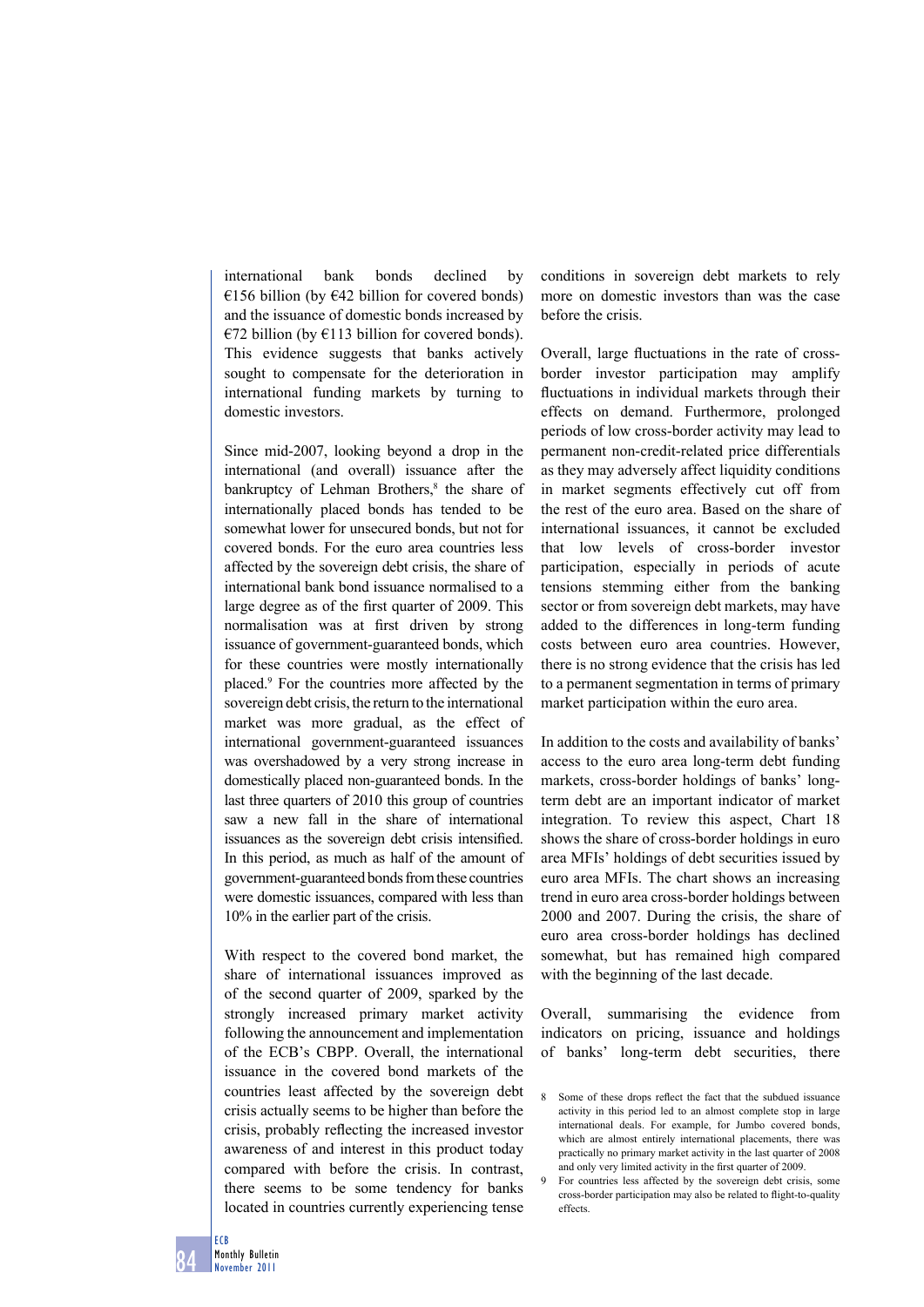international bank bonds declined by €156 billion (by €42 billion for covered bonds) and the issuance of domestic bonds increased by €72 billion (by €113 billion for covered bonds). This evidence suggests that banks actively sought to compensate for the deterioration in international funding markets by turning to domestic investors.

Since mid-2007, looking beyond a drop in the international (and overall) issuance after the bankruptcy of Lehman Brothers,<sup>8</sup> the share of internationally placed bonds has tended to be somewhat lower for unsecured bonds, but not for covered bonds. For the euro area countries less affected by the sovereign debt crisis, the share of international bank bond issuance normalised to a large degree as of the first quarter of 2009. This normalisation was at first driven by strong issuance of government-guaranteed bonds, which for these countries were mostly internationally placed.9 For the countries more affected by the sovereign debt crisis, the return to the international market was more gradual, as the effect of international government-guaranteed issuances was overshadowed by a very strong increase in domestically placed non-guaranteed bonds. In the last three quarters of 2010 this group of countries saw a new fall in the share of international issuances as the sovereign debt crisis intensified. In this period, as much as half of the amount of government-guaranteed bonds from these countries were domestic issuances, compared with less than 10% in the earlier part of the crisis.

With respect to the covered bond market, the share of international issuances improved as of the second quarter of 2009, sparked by the strongly increased primary market activity following the announcement and implementation of the ECB's CBPP. Overall, the international issuance in the covered bond markets of the countries least affected by the sovereign debt crisis actually seems to be higher than before the crisis, probably reflecting the increased investor awareness of and interest in this product today compared with before the crisis. In contrast, there seems to be some tendency for banks located in countries currently experiencing tense conditions in sovereign debt markets to rely more on domestic investors than was the case before the crisis.

Overall, large fluctuations in the rate of crossborder investor participation may amplify fluctuations in individual markets through their effects on demand. Furthermore, prolonged periods of low cross-border activity may lead to permanent non-credit-related price differentials as they may adversely affect liquidity conditions in market segments effectively cut off from the rest of the euro area. Based on the share of international issuances, it cannot be excluded that low levels of cross-border investor participation, especially in periods of acute tensions stemming either from the banking sector or from sovereign debt markets, may have added to the differences in long-term funding costs between euro area countries. However, there is no strong evidence that the crisis has led to a permanent segmentation in terms of primary market participation within the euro area.

In addition to the costs and availability of banks' access to the euro area long-term debt funding markets, cross-border holdings of banks' longterm debt are an important indicator of market integration. To review this aspect, Chart 18 shows the share of cross-border holdings in euro area MFIs' holdings of debt securities issued by euro area MFIs. The chart shows an increasing trend in euro area cross-border holdings between 2000 and 2007. During the crisis, the share of euro area cross-border holdings has declined somewhat, but has remained high compared with the beginning of the last decade.

Overall, summarising the evidence from indicators on pricing, issuance and holdings of banks' long-term debt securities, there

<sup>8</sup> Some of these drops reflect the fact that the subdued issuance activity in this period led to an almost complete stop in large international deals. For example, for Jumbo covered bonds, which are almost entirely international placements, there was practically no primary market activity in the last quarter of 2008 and only very limited activity in the first quarter of 2009.

<sup>9</sup> For countries less affected by the sovereign debt crisis, some cross-border participation may also be related to flight-to-quality effects.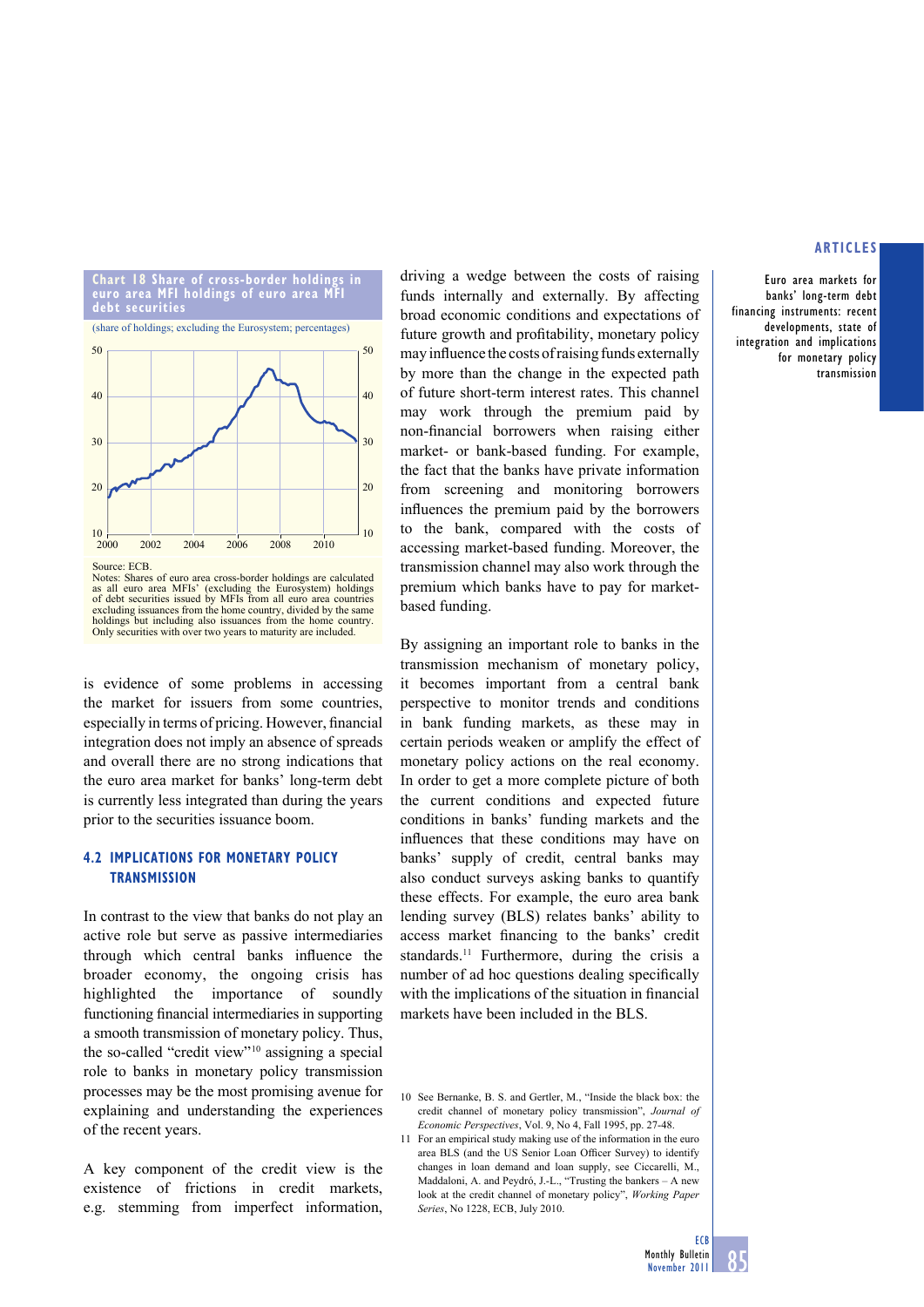**Chart 18 Share of cross-border holdings in euro area MFI holdings of euro area MFI bt securities** 





Source: ECB. Notes: Shares of euro area cross-border holdings are calculated as all euro area MFIs' (excluding the Eurosystem) holdings of debt securities issued by MFIs from all euro area countries excluding issuances from the home country, divided by the same holdings but including also issuances from the home country Only securities with over two years to maturity are included.

is evidence of some problems in accessing the market for issuers from some countries, especially in terms of pricing. However, financial integration does not imply an absence of spreads and overall there are no strong indications that the euro area market for banks' long-term debt is currently less integrated than during the years prior to the securities issuance boom.

# **4.2 IMPLICATIONS FOR MONETARY POLICY TRANSMISSION**

In contrast to the view that banks do not play an active role but serve as passive intermediaries through which central banks influence the broader economy, the ongoing crisis has highlighted the importance of soundly functioning financial intermediaries in supporting a smooth transmission of monetary policy. Thus, the so-called "credit view"<sup> $10$ </sup> assigning a special role to banks in monetary policy transmission processes may be the most promising avenue for explaining and understanding the experiences of the recent years.

A key component of the credit view is the existence of frictions in credit markets, e.g. stemming from imperfect information, driving a wedge between the costs of raising funds internally and externally. By affecting broad economic conditions and expectations of future growth and profitability, monetary policy may influence the costs of raising funds externally by more than the change in the expected path of future short-term interest rates. This channel may work through the premium paid by non-financial borrowers when raising either market- or bank-based funding. For example, the fact that the banks have private information from screening and monitoring borrowers influences the premium paid by the borrowers to the bank, compared with the costs of accessing market-based funding. Moreover, the transmission channel may also work through the premium which banks have to pay for marketbased funding.

By assigning an important role to banks in the transmission mechanism of monetary policy, it becomes important from a central bank perspective to monitor trends and conditions in bank funding markets, as these may in certain periods weaken or amplify the effect of monetary policy actions on the real economy. In order to get a more complete picture of both the current conditions and expected future conditions in banks' funding markets and the influences that these conditions may have on banks' supply of credit, central banks may also conduct surveys asking banks to quantify these effects. For example, the euro area bank lending survey (BLS) relates banks' ability to access market financing to the banks' credit standards.<sup>11</sup> Furthermore, during the crisis a number of ad hoc questions dealing specifically with the implications of the situation in financial markets have been included in the BLS.

### **ARTICLES**

Euro area markets for banks' long-term debt financing instruments: recent developments, state of integration and implications for monetary policy transmission

**ECB** 

<sup>10</sup> See Bernanke, B. S. and Gertler, M., "Inside the black box: the credit channel of monetary policy transmission", *Journal of Economic Perspectives*, Vol. 9, No 4, Fall 1995, pp. 27-48.

<sup>11</sup> For an empirical study making use of the information in the euro area BLS (and the US Senior Loan Officer Survey) to identify changes in loan demand and loan supply, see Ciccarelli, M., Maddaloni, A. and Peydró, J.-L., "Trusting the bankers – A new look at the credit channel of monetary policy", *Working Paper Series*, No 1228, ECB, July 2010.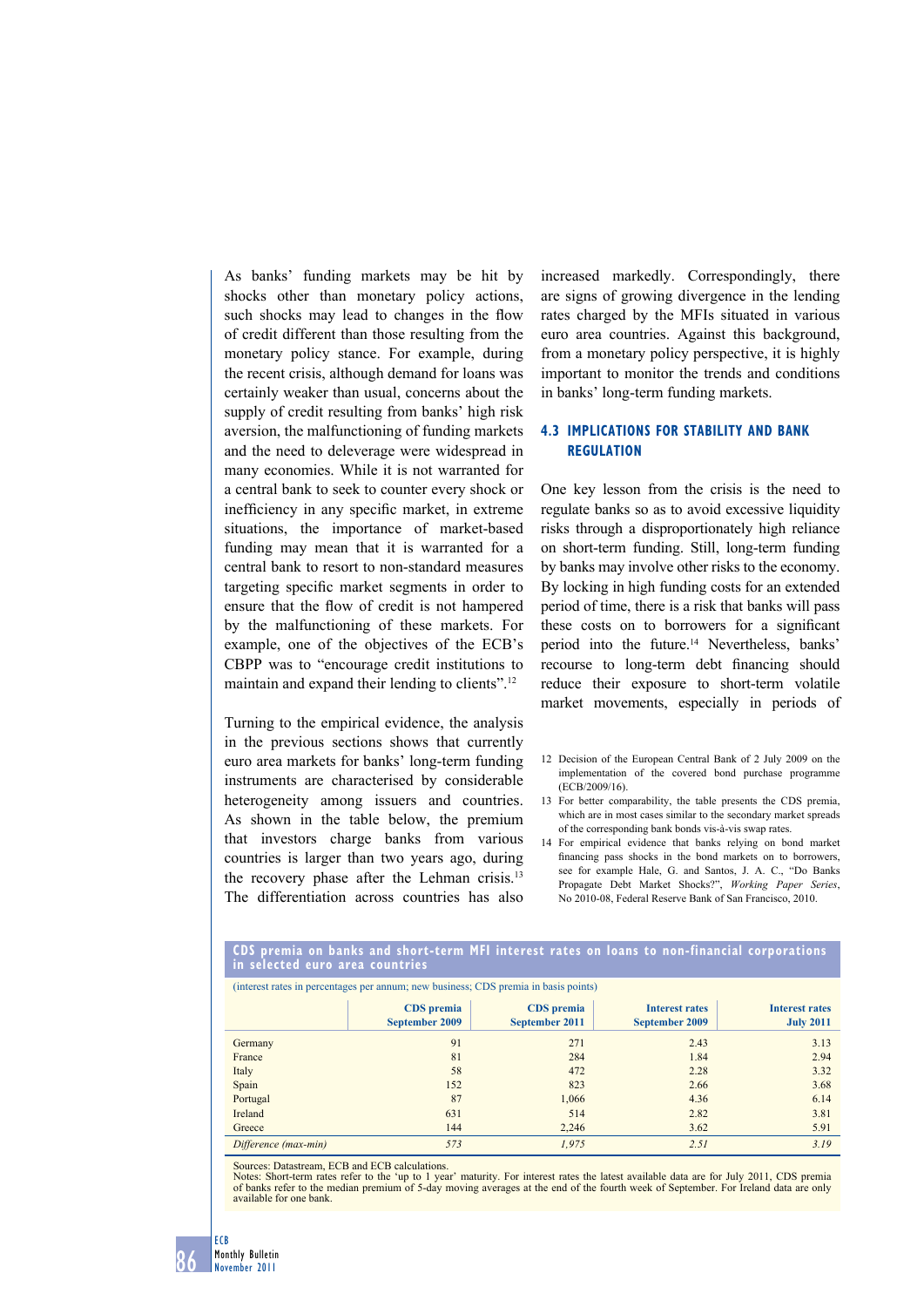As banks' funding markets may be hit by shocks other than monetary policy actions, such shocks may lead to changes in the flow of credit different than those resulting from the monetary policy stance. For example, during the recent crisis, although demand for loans was certainly weaker than usual, concerns about the supply of credit resulting from banks' high risk aversion, the malfunctioning of funding markets and the need to deleverage were widespread in many economies. While it is not warranted for a central bank to seek to counter every shock or inefficiency in any specific market, in extreme situations, the importance of market-based funding may mean that it is warranted for a central bank to resort to non-standard measures targeting specific market segments in order to ensure that the flow of credit is not hampered by the malfunctioning of these markets. For example, one of the objectives of the ECB's CBPP was to "encourage credit institutions to maintain and expand their lending to clients".12

Turning to the empirical evidence, the analysis in the previous sections shows that currently euro area markets for banks' long-term funding instruments are characterised by considerable heterogeneity among issuers and countries. As shown in the table below, the premium that investors charge banks from various countries is larger than two years ago, during the recovery phase after the Lehman crisis.13 The differentiation across countries has also

increased markedly. Correspondingly, there are signs of growing divergence in the lending rates charged by the MFIs situated in various euro area countries. Against this background, from a monetary policy perspective, it is highly important to monitor the trends and conditions in banks' long-term funding markets.

# **4.3 Implications for stability and bank regulation**

One key lesson from the crisis is the need to regulate banks so as to avoid excessive liquidity risks through a disproportionately high reliance on short-term funding. Still, long-term funding by banks may involve other risks to the economy. By locking in high funding costs for an extended period of time, there is a risk that banks will pass these costs on to borrowers for a significant period into the future.<sup>14</sup> Nevertheless, banks' recourse to long-term debt financing should reduce their exposure to short-term volatile market movements, especially in periods of

- 12 Decision of the European Central Bank of 2 July 2009 on the implementation of the covered bond purchase programme (ECB/2009/16).
- 13 For better comparability, the table presents the CDS premia, which are in most cases similar to the secondary market spreads of the corresponding bank bonds vis-à-vis swap rates.
- 14 For empirical evidence that banks relying on bond market financing pass shocks in the bond markets on to borrowers, see for example Hale, G. and Santos, J. A. C., "Do Banks Propagate Debt Market Shocks?", *Working Paper Series*, No 2010-08, Federal Reserve Bank of San Francisco, 2010.

| (interest rates in percentages per annum; new business; CDS premia in basis points) |                                     |                                     |                                         |                                           |
|-------------------------------------------------------------------------------------|-------------------------------------|-------------------------------------|-----------------------------------------|-------------------------------------------|
|                                                                                     | <b>CDS</b> premia<br>September 2009 | <b>CDS</b> premia<br>September 2011 | <b>Interest rates</b><br>September 2009 | <b>Interest rates</b><br><b>July 2011</b> |
| Germany                                                                             | 91                                  | 271                                 | 2.43                                    | 3.13                                      |
| France                                                                              | 81                                  | 284                                 | 1.84                                    | 2.94                                      |
| Italy                                                                               | 58                                  | 472                                 | 2.28                                    | 3.32                                      |
| Spain                                                                               | 152                                 | 823                                 | 2.66                                    | 3.68                                      |
| Portugal                                                                            | 87                                  | 1,066                               | 4.36                                    | 6.14                                      |
| Ireland                                                                             | 631                                 | 514                                 | 2.82                                    | 3.81                                      |
| Greece                                                                              | 144                                 | 2,246                               | 3.62                                    | 5.91                                      |
| Difference (max-min)                                                                | 573                                 | 1,975                               | 2.51                                    | 3.19                                      |

**CDS premia on banks and short-term MFI interest rates on loans to non-financial corporations in selected euro area countries**

Sources: Datastream, ECB and ECB calculations.

Notes: Short-term rates refer to the 'up to 1 year' maturity. For interest rates the latest available data are for July 2011, CDS premia of banks refer to the median premium of 5-day moving averages at the end of the fourth week of September. For Ireland data are only available for one bank.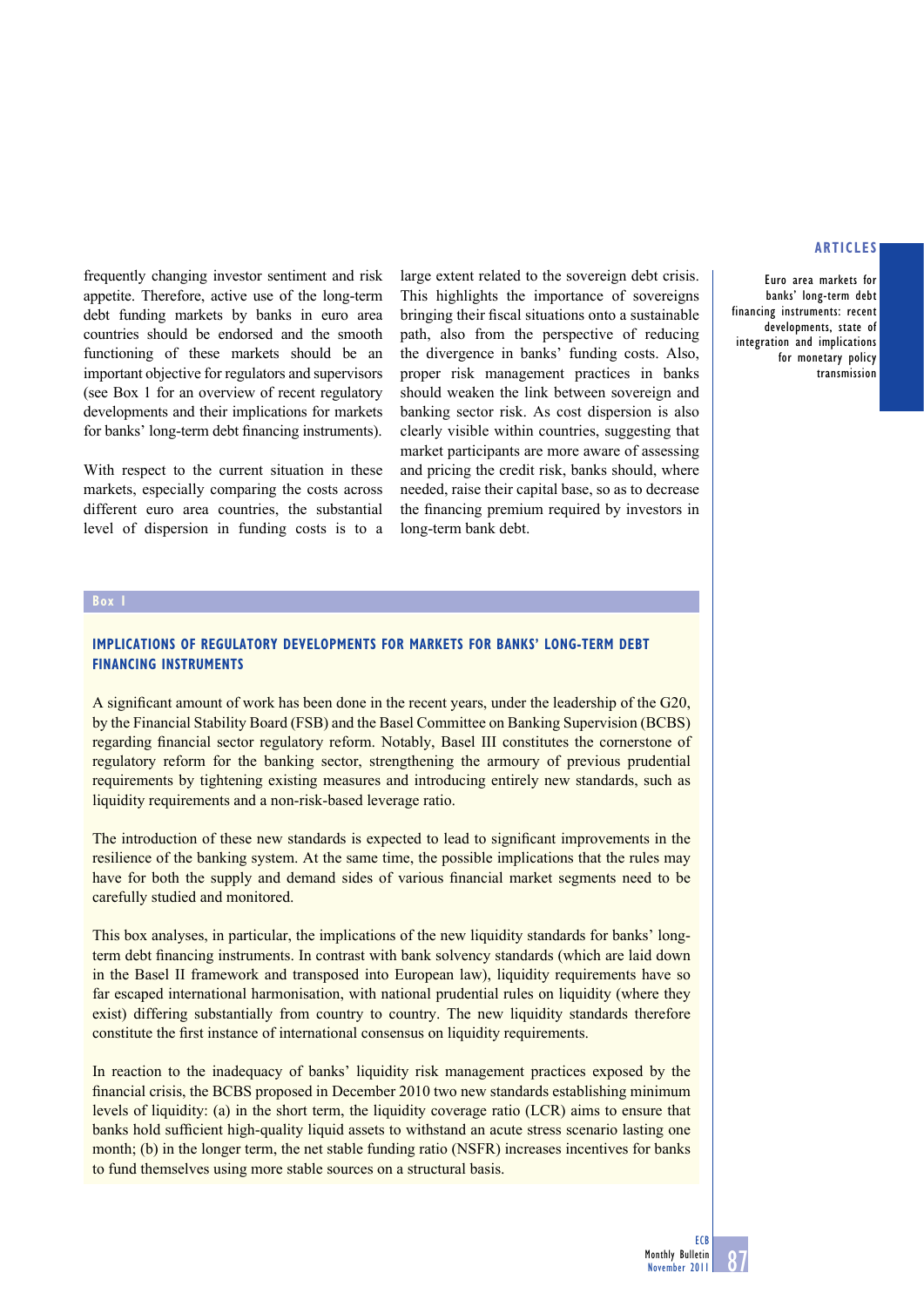frequently changing investor sentiment and risk appetite. Therefore, active use of the long-term debt funding markets by banks in euro area countries should be endorsed and the smooth functioning of these markets should be an important objective for regulators and supervisors (see Box 1 for an overview of recent regulatory developments and their implications for markets for banks' long-term debt financing instruments).

With respect to the current situation in these markets, especially comparing the costs across different euro area countries, the substantial level of dispersion in funding costs is to a

large extent related to the sovereign debt crisis. This highlights the importance of sovereigns bringing their fiscal situations onto a sustainable path, also from the perspective of reducing the divergence in banks' funding costs. Also, proper risk management practices in banks should weaken the link between sovereign and banking sector risk. As cost dispersion is also clearly visible within countries, suggesting that market participants are more aware of assessing and pricing the credit risk, banks should, where needed, raise their capital base, so as to decrease the financing premium required by investors in long-term bank debt.

# **ARTICLES**

Euro area markets for banks' long-term debt financing instruments: recent developments, state of integration and implications for monetary policy transmission

### **Box 1**

# **IMPLICATIONS OF REGULATORY DEVELOPMENTS FOR MARKETS FOR BANKS' LONG-TERM DEBT FINANCING INSTRUMENTS**

A significant amount of work has been done in the recent years, under the leadership of the G20, by the Financial Stability Board (FSB) and the Basel Committee on Banking Supervision (BCBS) regarding financial sector regulatory reform. Notably, Basel III constitutes the cornerstone of regulatory reform for the banking sector, strengthening the armoury of previous prudential requirements by tightening existing measures and introducing entirely new standards, such as liquidity requirements and a non-risk-based leverage ratio.

The introduction of these new standards is expected to lead to significant improvements in the resilience of the banking system. At the same time, the possible implications that the rules may have for both the supply and demand sides of various financial market segments need to be carefully studied and monitored.

This box analyses, in particular, the implications of the new liquidity standards for banks' longterm debt financing instruments. In contrast with bank solvency standards (which are laid down in the Basel II framework and transposed into European law), liquidity requirements have so far escaped international harmonisation, with national prudential rules on liquidity (where they exist) differing substantially from country to country. The new liquidity standards therefore constitute the first instance of international consensus on liquidity requirements.

In reaction to the inadequacy of banks' liquidity risk management practices exposed by the financial crisis, the BCBS proposed in December 2010 two new standards establishing minimum levels of liquidity: (a) in the short term, the liquidity coverage ratio (LCR) aims to ensure that banks hold sufficient high-quality liquid assets to withstand an acute stress scenario lasting one month; (b) in the longer term, the net stable funding ratio (NSFR) increases incentives for banks to fund themselves using more stable sources on a structural basis.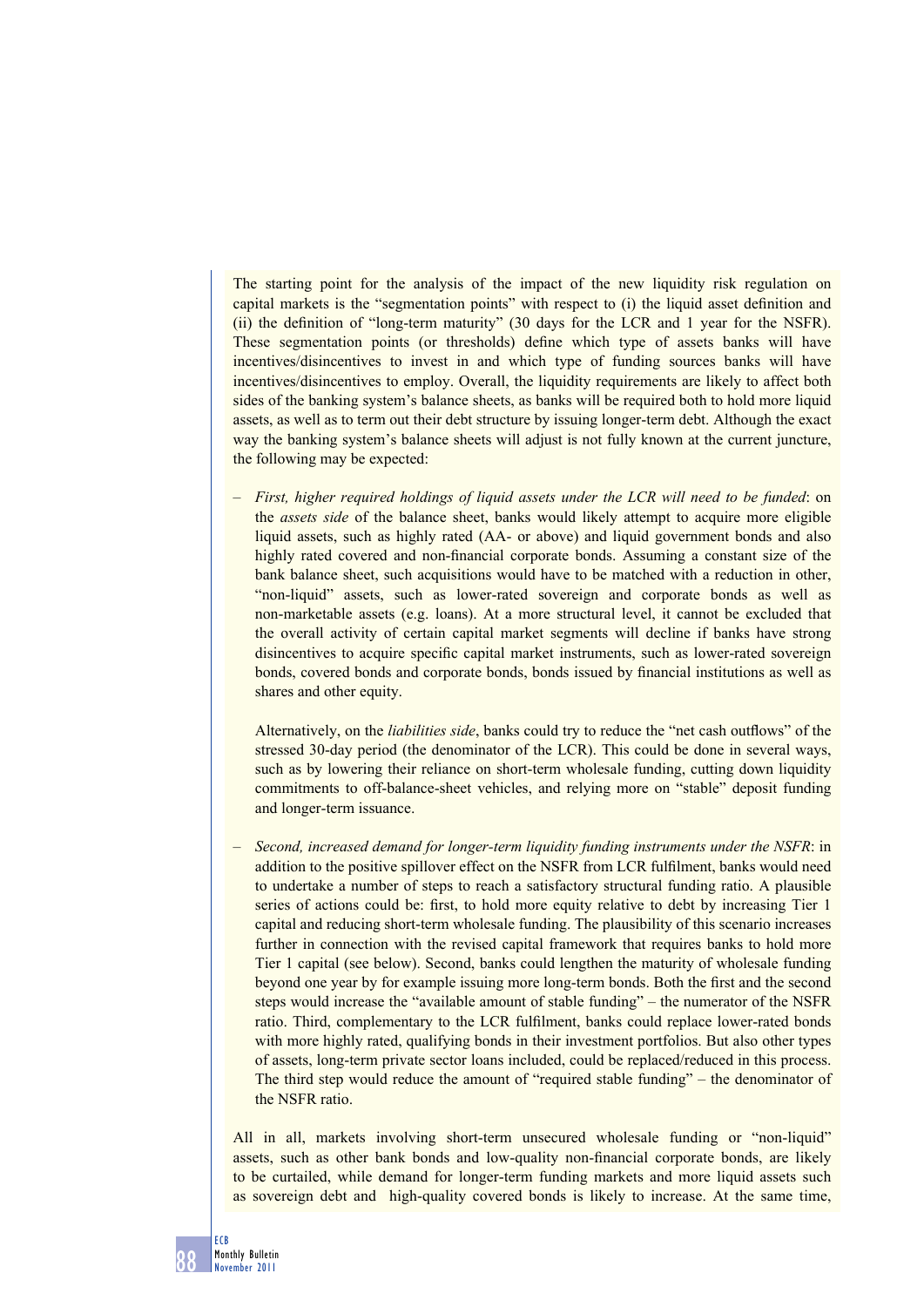The starting point for the analysis of the impact of the new liquidity risk regulation on capital markets is the "segmentation points" with respect to (i) the liquid asset definition and (ii) the definition of "long-term maturity" (30 days for the LCR and 1 year for the NSFR). These segmentation points (or thresholds) define which type of assets banks will have incentives/disincentives to invest in and which type of funding sources banks will have incentives/disincentives to employ. Overall, the liquidity requirements are likely to affect both sides of the banking system's balance sheets, as banks will be required both to hold more liquid assets, as well as to term out their debt structure by issuing longer-term debt. Although the exact way the banking system's balance sheets will adjust is not fully known at the current juncture, the following may be expected:

 – *First, higher required holdings of liquid assets under the LCR will need to be funded*: on the *assets side* of the balance sheet, banks would likely attempt to acquire more eligible liquid assets, such as highly rated (AA- or above) and liquid government bonds and also highly rated covered and non-financial corporate bonds. Assuming a constant size of the bank balance sheet, such acquisitions would have to be matched with a reduction in other, "non-liquid" assets, such as lower-rated sovereign and corporate bonds as well as non-marketable assets (e.g. loans). At a more structural level, it cannot be excluded that the overall activity of certain capital market segments will decline if banks have strong disincentives to acquire specific capital market instruments, such as lower-rated sovereign bonds, covered bonds and corporate bonds, bonds issued by financial institutions as well as shares and other equity.

Alternatively, on the *liabilities side*, banks could try to reduce the "net cash outflows" of the stressed 30-day period (the denominator of the LCR). This could be done in several ways, such as by lowering their reliance on short-term wholesale funding, cutting down liquidity commitments to off-balance-sheet vehicles, and relying more on "stable" deposit funding and longer-term issuance.

 – *Second, increased demand for longer-term liquidity funding instruments under the NSFR*: in addition to the positive spillover effect on the NSFR from LCR fulfilment, banks would need to undertake a number of steps to reach a satisfactory structural funding ratio. A plausible series of actions could be: first, to hold more equity relative to debt by increasing Tier 1 capital and reducing short-term wholesale funding. The plausibility of this scenario increases further in connection with the revised capital framework that requires banks to hold more Tier 1 capital (see below). Second, banks could lengthen the maturity of wholesale funding beyond one year by for example issuing more long-term bonds. Both the first and the second steps would increase the "available amount of stable funding" – the numerator of the NSFR ratio. Third, complementary to the LCR fulfilment, banks could replace lower-rated bonds with more highly rated, qualifying bonds in their investment portfolios. But also other types of assets, long-term private sector loans included, could be replaced/reduced in this process. The third step would reduce the amount of "required stable funding" – the denominator of the NSFR ratio.

All in all, markets involving short-term unsecured wholesale funding or "non-liquid" assets, such as other bank bonds and low-quality non-financial corporate bonds, are likely to be curtailed, while demand for longer-term funding markets and more liquid assets such as sovereign debt and high-quality covered bonds is likely to increase. At the same time,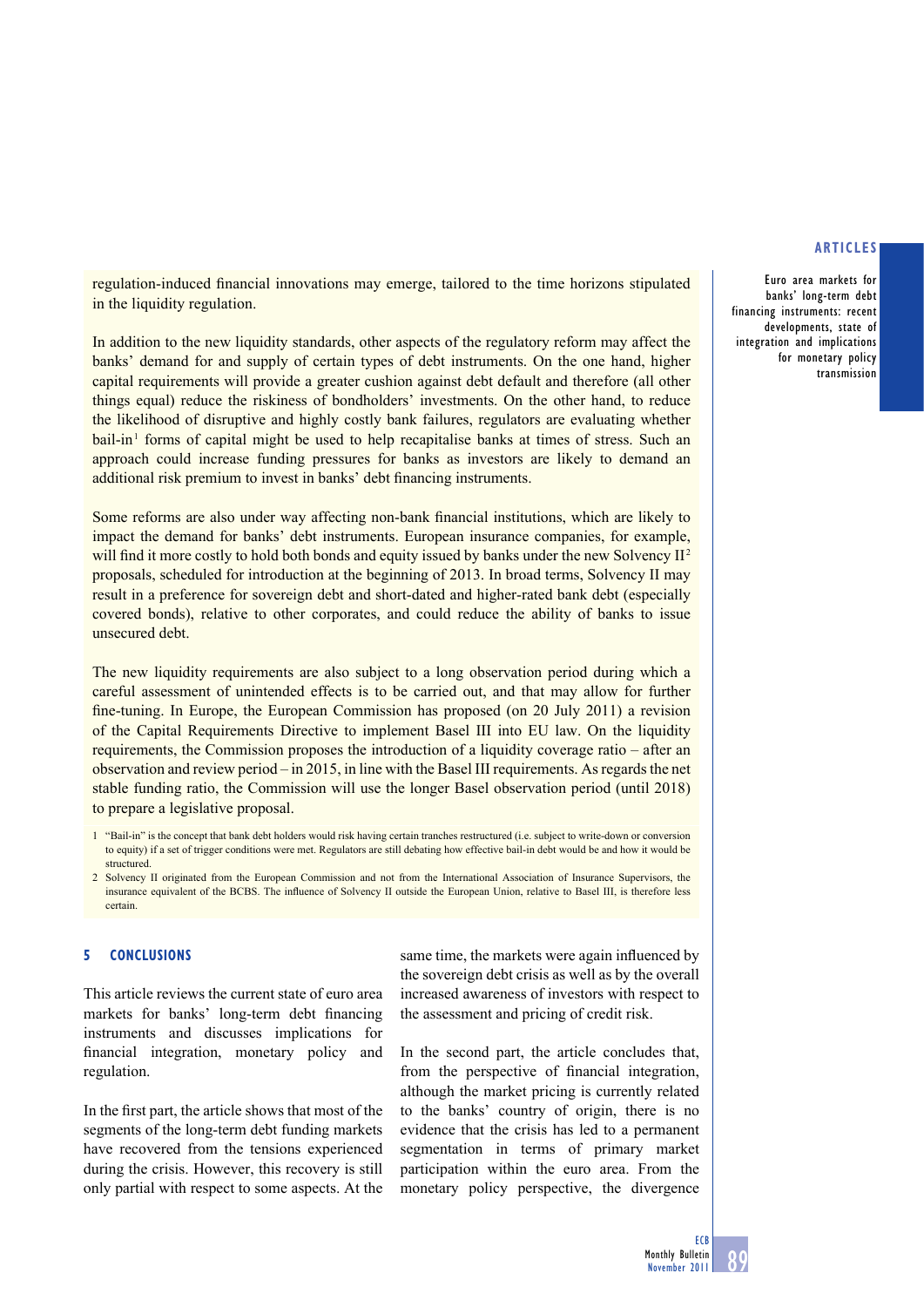### **ARTICLES**

Euro area markets for banks' long-term debt financing instruments: recent developments, state of integration and implications for monetary policy transmission

regulation-induced financial innovations may emerge, tailored to the time horizons stipulated in the liquidity regulation.

In addition to the new liquidity standards, other aspects of the regulatory reform may affect the banks' demand for and supply of certain types of debt instruments. On the one hand, higher capital requirements will provide a greater cushion against debt default and therefore (all other things equal) reduce the riskiness of bondholders' investments. On the other hand, to reduce the likelihood of disruptive and highly costly bank failures, regulators are evaluating whether  $b$ ail-in<sup>1</sup> forms of capital might be used to help recapitalise banks at times of stress. Such an approach could increase funding pressures for banks as investors are likely to demand an additional risk premium to invest in banks' debt financing instruments.

Some reforms are also under way affecting non-bank financial institutions, which are likely to impact the demand for banks' debt instruments. European insurance companies, for example, will find it more costly to hold both bonds and equity issued by banks under the new Solvency  $II^2$ proposals, scheduled for introduction at the beginning of 2013. In broad terms, Solvency II may result in a preference for sovereign debt and short-dated and higher-rated bank debt (especially covered bonds), relative to other corporates, and could reduce the ability of banks to issue unsecured debt.

The new liquidity requirements are also subject to a long observation period during which a careful assessment of unintended effects is to be carried out, and that may allow for further fine-tuning. In Europe, the European Commission has proposed (on 20 July 2011) a revision of the Capital Requirements Directive to implement Basel III into EU law. On the liquidity requirements, the Commission proposes the introduction of a liquidity coverage ratio – after an observation and review period – in 2015, in line with the Basel III requirements. As regards the net stable funding ratio, the Commission will use the longer Basel observation period (until 2018) to prepare a legislative proposal.

### **5 CONCLUSIONS**

This article reviews the current state of euro area markets for banks' long-term debt financing instruments and discusses implications for financial integration, monetary policy and regulation.

In the first part, the article shows that most of the segments of the long-term debt funding markets have recovered from the tensions experienced during the crisis. However, this recovery is still only partial with respect to some aspects. At the same time, the markets were again influenced by the sovereign debt crisis as well as by the overall increased awareness of investors with respect to the assessment and pricing of credit risk.

In the second part, the article concludes that, from the perspective of financial integration, although the market pricing is currently related to the banks' country of origin, there is no evidence that the crisis has led to a permanent segmentation in terms of primary market participation within the euro area. From the monetary policy perspective, the divergence

<sup>1 &</sup>quot;Bail-in" is the concept that bank debt holders would risk having certain tranches restructured (i.e. subject to write-down or conversion to equity) if a set of trigger conditions were met. Regulators are still debating how effective bail-in debt would be and how it would be structured.

<sup>2</sup> Solvency II originated from the European Commission and not from the International Association of Insurance Supervisors, the insurance equivalent of the BCBS. The influence of Solvency II outside the European Union, relative to Basel III, is therefore less certain.